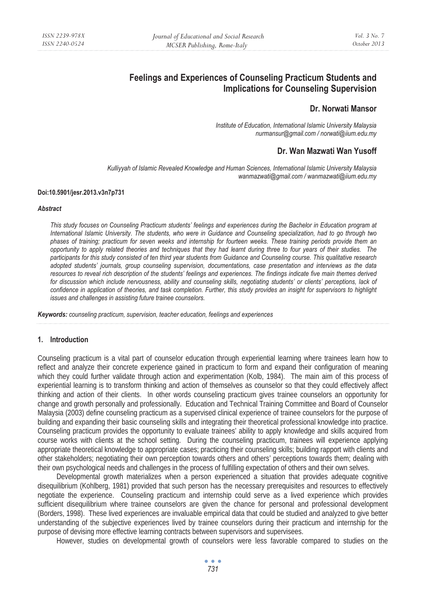# **Feelings and Experiences of Counseling Practicum Students and Implications for Counseling Supervision**

# **Dr. Norwati Mansor**

*Institute of Education, International Islamic University Malaysia nurmansur@gmail.com / norwati@iium.edu.my* 

# **Dr. Wan Mazwati Wan Yusoff**

*Kulliyyah of Islamic Revealed Knowledge and Human Sciences, International Islamic University Malaysia wanmazwati@gmail.com / wanmazwati@iium.edu.my* 

#### **Doi:10.5901/jesr.2013.v3n7p731**

#### *Abstract*

*This study focuses on Counseling Practicum students' feelings and experiences during the Bachelor in Education program at International Islamic University. The students, who were in Guidance and Counseling specialization, had to go through two phases of training; practicum for seven weeks and internship for fourteen weeks. These training periods provide them an opportunity to apply related theories and techniques that they had learnt during three to four years of their studies. The participants for this study consisted of ten third year students from Guidance and Counseling course. This qualitative research adopted students' journals, group counseling supervision, documentations, case presentation and interviews as the data*  resources to reveal rich description of the students' feelings and experiences. The findings indicate five main themes derived *for discussion which include nervousness, ability and counseling skills, negotiating students' or clients' perceptions, lack of confidence in application of theories, and task completion. Further, this study provides an insight for supervisors to highlight issues and challenges in assisting future trainee counselors.* 

*Keywords: counseling practicum, supervision, teacher education, feelings and experiences* 

#### **1. Introduction**

Counseling practicum is a vital part of counselor education through experiential learning where trainees learn how to reflect and analyze their concrete experience gained in practicum to form and expand their configuration of meaning which they could further validate through action and experimentation (Kolb, 1984). The main aim of this process of experiential learning is to transform thinking and action of themselves as counselor so that they could effectively affect thinking and action of their clients. In other words counseling practicum gives trainee counselors an opportunity for change and growth personally and professionally. Education and Technical Training Committee and Board of Counselor Malaysia (2003) define counseling practicum as a supervised clinical experience of trainee counselors for the purpose of building and expanding their basic counseling skills and integrating their theoretical professional knowledge into practice. Counseling practicum provides the opportunity to evaluate trainees' ability to apply knowledge and skills acquired from course works with clients at the school setting. During the counseling practicum, trainees will experience applying appropriate theoretical knowledge to appropriate cases; practicing their counseling skills; building rapport with clients and other stakeholders; negotiating their own perception towards others and others' perceptions towards them; dealing with their own psychological needs and challenges in the process of fulfilling expectation of others and their own selves.

Developmental growth materializes when a person experienced a situation that provides adequate cognitive disequilibrium (Kohlberg, 1981) provided that such person has the necessary prerequisites and resources to effectively negotiate the experience. Counseling practicum and internship could serve as a lived experience which provides sufficient disequilibrium where trainee counselors are given the chance for personal and professional development (Borders, 1998). These lived experiences are invaluable empirical data that could be studied and analyzed to give better understanding of the subjective experiences lived by trainee counselors during their practicum and internship for the purpose of devising more effective learning contracts between supervisors and supervisees.

However, studies on developmental growth of counselors were less favorable compared to studies on the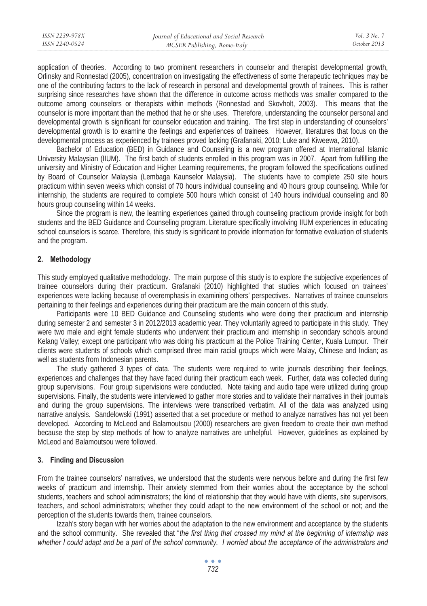| ISSN 2239-978X | Journal of Educational and Social Research | Vol. 3 No. 7 |
|----------------|--------------------------------------------|--------------|
| ISSN 2240-0524 | MCSER Publishing, Rome-Italy               | October 2013 |
|                |                                            |              |

application of theories. According to two prominent researchers in counselor and therapist developmental growth, Orlinsky and Ronnestad (2005), concentration on investigating the effectiveness of some therapeutic techniques may be one of the contributing factors to the lack of research in personal and developmental growth of trainees. This is rather surprising since researches have shown that the difference in outcome across methods was smaller compared to the outcome among counselors or therapists within methods (Ronnestad and Skovholt, 2003). This means that the counselor is more important than the method that he or she uses. Therefore, understanding the counselor personal and developmental growth is significant for counselor education and training. The first step in understanding of counselors' developmental growth is to examine the feelings and experiences of trainees. However, literatures that focus on the developmental process as experienced by trainees proved lacking (Grafanaki, 2010; Luke and Kiweewa, 2010).

Bachelor of Education (BED) in Guidance and Counseling is a new program offered at International Islamic University Malaysian (IIUM). The first batch of students enrolled in this program was in 2007. Apart from fulfilling the university and Ministry of Education and Higher Learning requirements, the program followed the specifications outlined by Board of Counselor Malaysia (Lembaga Kaunselor Malaysia). The students have to complete 250 site hours practicum within seven weeks which consist of 70 hours individual counseling and 40 hours group counseling. While for internship, the students are required to complete 500 hours which consist of 140 hours individual counseling and 80 hours group counseling within 14 weeks.

Since the program is new, the learning experiences gained through counseling practicum provide insight for both students and the BED Guidance and Counseling program. Literature specifically involving IIUM experiences in educating school counselors is scarce. Therefore, this study is significant to provide information for formative evaluation of students and the program.

# **2. Methodology**

This study employed qualitative methodology. The main purpose of this study is to explore the subjective experiences of trainee counselors during their practicum. Grafanaki (2010) highlighted that studies which focused on trainees' experiences were lacking because of overemphasis in examining others' perspectives. Narratives of trainee counselors pertaining to their feelings and experiences during their practicum are the main concern of this study.

Participants were 10 BED Guidance and Counseling students who were doing their practicum and internship during semester 2 and semester 3 in 2012/2013 academic year. They voluntarily agreed to participate in this study. They were two male and eight female students who underwent their practicum and internship in secondary schools around Kelang Valley; except one participant who was doing his practicum at the Police Training Center, Kuala Lumpur. Their clients were students of schools which comprised three main racial groups which were Malay, Chinese and Indian; as well as students from Indonesian parents.

The study gathered 3 types of data. The students were required to write journals describing their feelings, experiences and challenges that they have faced during their practicum each week. Further, data was collected during group supervisions. Four group supervisions were conducted. Note taking and audio tape were utilized during group supervisions. Finally, the students were interviewed to gather more stories and to validate their narratives in their journals and during the group supervisions. The interviews were transcribed verbatim. All of the data was analyzed using narrative analysis. Sandelowski (1991) asserted that a set procedure or method to analyze narratives has not yet been developed. According to McLeod and Balamoutsou (2000) researchers are given freedom to create their own method because the step by step methods of how to analyze narratives are unhelpful. However, guidelines as explained by McLeod and Balamoutsou were followed.

## **3. Finding and Discussion**

From the trainee counselors' narratives, we understood that the students were nervous before and during the first few weeks of practicum and internship. Their anxiety stemmed from their worries about the acceptance by the school students, teachers and school administrators; the kind of relationship that they would have with clients, site supervisors, teachers, and school administrators; whether they could adapt to the new environment of the school or not; and the perception of the students towards them, trainee counselors.

Izzah's story began with her worries about the adaptation to the new environment and acceptance by the students and the school community. She revealed that "*the first thing that crossed my mind at the beginning of internship was whether I could adapt and be a part of the school community. I worried about the acceptance of the administrators and*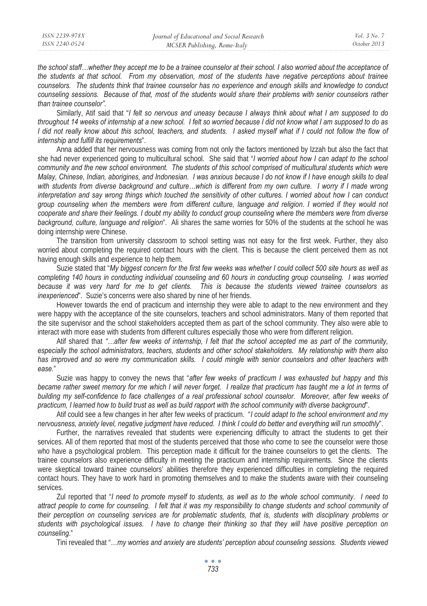*the school staff…whether they accept me to be a trainee counselor at their school. I also worried about the acceptance of the students at that school. From my observation, most of the students have negative perceptions about trainee counselors. The students think that trainee counselor has no experience and enough skills and knowledge to conduct counseling sessions. Because of that, most of the students would share their problems with senior counselors rather than trainee counselor".*

Similarly, Atif said that "*I felt so nervous and uneasy because I always think about what I am supposed to do throughout 14 weeks of internship at a new school. I felt so worried because I did not know what I am supposed to do as I did not really know about this school, teachers, and students. I asked myself what if I could not follow the flow of internship and fulfill its requirements*".

Anna added that her nervousness was coming from not only the factors mentioned by Izzah but also the fact that she had never experienced going to multicultural school. She said that "*I worried about how I can adapt to the school community and the new school environment. The students of this school comprised of multicultural students which were Malay, Chinese, Indian, aborigines, and Indonesian. I was anxious because I do not know if I have enough skills to deal*  with students from diverse background and culture...which is different from my own culture. I worry if I made wrong *interpretation and say wrong things which touched the sensitivity of other cultures. I worried about how I can conduct group counseling when the members were from different culture, language and religion. I worried if they would not cooperate and share their feelings. I doubt my ability to conduct group counseling where the members were from diverse background, culture, language and religion*". Ali shares the same worries for 50% of the students at the school he was doing internship were Chinese.

The transition from university classroom to school setting was not easy for the first week. Further, they also worried about completing the required contact hours with the client. This is because the client perceived them as not having enough skills and experience to help them.

Suzie stated that "*My biggest concern for the first few weeks was whether I could collect 500 site hours as well as completing 140 hours in conducting individual counseling and 60 hours in conducting group counseling. I was worried because it was very hard for me to get clients. This is because the students viewed trainee counselors as inexperienced*". Suzie's concerns were also shared by nine of her friends.

However towards the end of practicum and internship they were able to adapt to the new environment and they were happy with the acceptance of the site counselors, teachers and school administrators. Many of them reported that the site supervisor and the school stakeholders accepted them as part of the school community. They also were able to interact with more ease with students from different cultures especially those who were from different religion.

Atif shared that *"…after few weeks of internship, I felt that the school accepted me as part of the community, especially the school administrators, teachers, students and other school stakeholders. My relationship with them also has improved and so were my communication skills. I could mingle with senior counselors and other teachers with ease.*"

Suzie was happy to convey the news that "*after few weeks of practicum I was exhausted but happy and this became rather sweet memory for me which I will never forget. I realize that practicum has taught me a lot in terms of building my self-confidence to face challenges of a real professional school counselor. Moreover, after few weeks of practicum, I learned how to build trust as well as build rapport with the school community with diverse background*".

Atif could see a few changes in her after few weeks of practicum. "*I could adapt to the school environment and my nervousness, anxiety level, negative judgment have reduced. I think I could do better and everything will run smoothly*".

Further, the narratives revealed that students were experiencing difficulty to attract the students to get their services. All of them reported that most of the students perceived that those who come to see the counselor were those who have a psychological problem. This perception made it difficult for the trainee counselors to get the clients. The trainee counselors also experience difficulty in meeting the practicum and internship requirements. Since the clients were skeptical toward trainee counselors' abilities therefore they experienced difficulties in completing the required contact hours. They have to work hard in promoting themselves and to make the students aware with their counseling services.

Zul reported that "*I need to promote myself to students, as well as to the whole school community. I need to attract people to come for counseling. I felt that it was my responsibility to change students and school community of their perception on counseling services are for problematic students, that is, students with disciplinary problems or students with psychological issues. I have to change their thinking so that they will have positive perception on counseling*."

Tini revealed that "…*my worries and anxiety are students' perception about counseling sessions. Students viewed*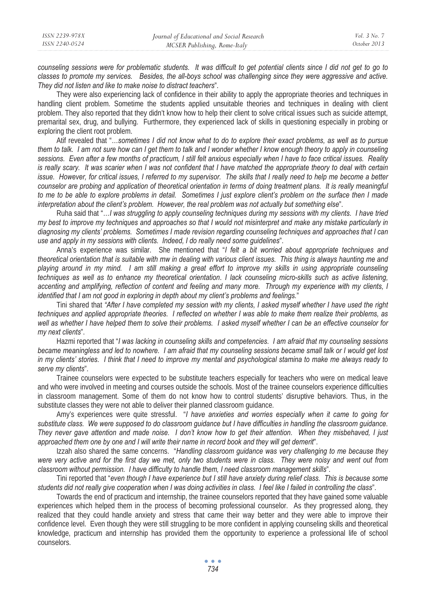| ISSN 2239-978X | Journal of Educational and Social Research | Vol. 3 No. 7 |
|----------------|--------------------------------------------|--------------|
| ISSN 2240-0524 | MCSER Publishing, Rome-Italy               | October 2013 |
|                |                                            |              |

*counseling sessions were for problematic students. It was difficult to get potential clients since I did not get to go to classes to promote my services. Besides, the all-boys school was challenging since they were aggressive and active. They did not listen and like to make noise to distract teachers*".

They were also experiencing lack of confidence in their ability to apply the appropriate theories and techniques in handling client problem. Sometime the students applied unsuitable theories and techniques in dealing with client problem. They also reported that they didn't know how to help their client to solve critical issues such as suicide attempt, premarital sex, drug, and bullying. Furthermore, they experienced lack of skills in questioning especially in probing or exploring the client root problem.

Atif revealed that "…*sometimes I did not know what to do to explore their exact problems, as well as to pursue them to talk. I am not sure how can I get them to talk and I wonder whether I know enough theory to apply in counseling sessions. Even after a few months of practicum, I still felt anxious especially when I have to face critical issues. Reality is really scary. It was scarier when I was not confident that I have matched the appropriate theory to deal with certain issue. However, for critical issues, I referred to my supervisor. The skills that I really need to help me become a better counselor are probing and application of theoretical orientation in terms of doing treatment plans. It is really meaningful to me to be able to explore problems in detail. Sometimes I just explore client's problem on the surface then I made interpretation about the client's problem. However, the real problem was not actually but something else*".

Ruha said that "…*I was struggling to apply counseling techniques during my sessions with my clients. I have tried my best to improve my techniques and approaches so that I would not misinterpret and make any mistake particularly in diagnosing my clients' problems. Sometimes I made revision regarding counseling techniques and approaches that I can use and apply in my sessions with clients. Indeed, I do really need some guidelines*".

Anna's experience was similar. She mentioned that "*I felt a bit worried about appropriate techniques and theoretical orientation that is suitable with mw in dealing with various client issues. This thing is always haunting me and playing around in my mind. I am still making a great effort to improve my skills in using appropriate counseling techniques as well as to enhance my theoretical orientation*. *I lack counseling micro-skills such as active listening, accenting and amplifying, reflection of content and feeling and many more. Through my experience with my clients, I identified that I am not good in exploring in depth about my client's problems and feelings.*"

Tini shared that *"After I have completed my session with my clients, I asked myself whether I have used the right techniques and applied appropriate theories. I reflected on whether I was able to make them realize their problems, as well as whether I have helped them to solve their problems. I asked myself whether I can be an effective counselor for my next clients*".

Hazmi reported that "*I was lacking in counseling skills and competencies. I am afraid that my counseling sessions became meaningless and led to nowhere. I am afraid that my counseling sessions became small talk or I would get lost in my clients' stories. I think that I need to improve my mental and psychological stamina to make me always ready to serve my clients*".

Trainee counselors were expected to be substitute teachers especially for teachers who were on medical leave and who were involved in meeting and courses outside the schools. Most of the trainee counselors experience difficulties in classroom management. Some of them do not know how to control students' disruptive behaviors. Thus, in the substitute classes they were not able to deliver their planned classroom guidance.

Amy's experiences were quite stressful. "*I have anxieties and worries especially when it came to going for substitute class. We were supposed to do classroom guidance but I have difficulties in handling the classroom guidance. They never gave attention and made noise. I don't know how to get their attention. When they misbehaved, I just approached them one by one and I will write their name in record book and they will get demerit*".

Izzah also shared the same concerns. "*Handling classroom guidance was very challenging to me because they were very active and for the first day we met, only two students were in class. They were noisy and went out from classroom without permission. I have difficulty to handle them, I need classroom management skills*".

Tini reported that "*even though I have experience but I still have anxiety during relief class. This is because some students did not really give cooperation when I was doing activities in class. I feel like I failed in controlling the class*".

Towards the end of practicum and internship, the trainee counselors reported that they have gained some valuable experiences which helped them in the process of becoming professional counselor. As they progressed along, they realized that they could handle anxiety and stress that came their way better and they were able to improve their confidence level. Even though they were still struggling to be more confident in applying counseling skills and theoretical knowledge, practicum and internship has provided them the opportunity to experience a professional life of school counselors.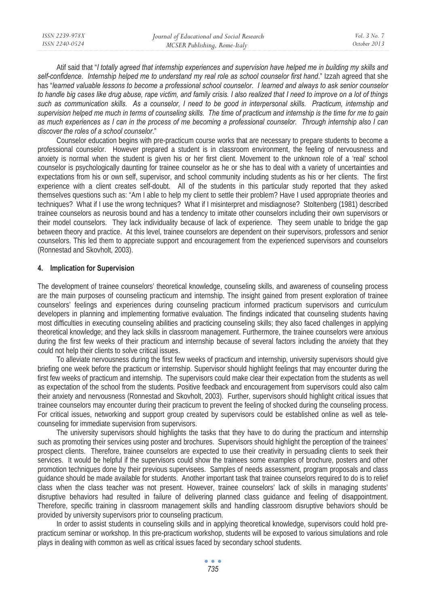| ISSN 2239-978X | Journal of Educational and Social Research | Vol. 3 No. 3 |
|----------------|--------------------------------------------|--------------|
| ISSN 2240-0524 | MCSER Publishing, Rome-Italy               | October 2013 |
|                |                                            |              |

Atif said that "*I totally agreed that internship experiences and supervision have helped me in building my skills and self-confidence. Internship helped me to understand my real role as school counselor first hand*." Izzah agreed that she has "*learned valuable lessons to become a professional school counselor. I learned and always to ask senior counselor to handle big cases like drug abuse, rape victim, and family crisis. I also realized that I need to improve on a lot of things such as communication skills. As a counselor, I need to be good in interpersonal skills. Practicum, internship and supervision helped me much in terms of counseling skills. The time of practicum and internship is the time for me to gain as much experiences as I can in the process of me becoming a professional counselor. Through internship also I can discover the roles of a school counselor*."

Counselor education begins with pre-practicum course works that are necessary to prepare students to become a professional counselor. However prepared a student is in classroom environment, the feeling of nervousness and anxiety is normal when the student is given his or her first client. Movement to the unknown role of a 'real' school counselor is psychologically daunting for trainee counselor as he or she has to deal with a variety of uncertainties and expectations from his or own self, supervisor, and school community including students as his or her clients. The first experience with a client creates self-doubt. All of the students in this particular study reported that they asked themselves questions such as: "Am I able to help my client to settle their problem? Have I used appropriate theories and techniques? What if I use the wrong techniques? What if I misinterpret and misdiagnose? Stoltenberg (1981) described trainee counselors as neurosis bound and has a tendency to imitate other counselors including their own supervisors or their model counselors. They lack individuality because of lack of experience. They seem unable to bridge the gap between theory and practice. At this level, trainee counselors are dependent on their supervisors, professors and senior counselors. This led them to appreciate support and encouragement from the experienced supervisors and counselors (Ronnestad and Skovholt, 2003).

## **4. Implication for Supervision**

The development of trainee counselors' theoretical knowledge, counseling skills, and awareness of counseling process are the main purposes of counseling practicum and internship. The insight gained from present exploration of trainee counselors' feelings and experiences during counseling practicum informed practicum supervisors and curriculum developers in planning and implementing formative evaluation. The findings indicated that counseling students having most difficulties in executing counseling abilities and practicing counseling skills; they also faced challenges in applying theoretical knowledge; and they lack skills in classroom management. Furthermore, the trainee counselors were anxious during the first few weeks of their practicum and internship because of several factors including the anxiety that they could not help their clients to solve critical issues.

To alleviate nervousness during the first few weeks of practicum and internship, university supervisors should give briefing one week before the practicum or internship. Supervisor should highlight feelings that may encounter during the first few weeks of practicum and internship. The supervisors could make clear their expectation from the students as well as expectation of the school from the students. Positive feedback and encouragement from supervisors could also calm their anxiety and nervousness (Ronnestad and Skovholt, 2003). Further, supervisors should highlight critical issues that trainee counselors may encounter during their practicum to prevent the feeling of shocked during the counseling process. For critical issues, networking and support group created by supervisors could be established online as well as telecounseling for immediate supervision from supervisors.

The university supervisors should highlights the tasks that they have to do during the practicum and internship such as promoting their services using poster and brochures. Supervisors should highlight the perception of the trainees' prospect clients. Therefore, trainee counselors are expected to use their creativity in persuading clients to seek their services. It would be helpful if the supervisors could show the trainees some examples of brochure, posters and other promotion techniques done by their previous supervisees. Samples of needs assessment, program proposals and class guidance should be made available for students. Another important task that trainee counselors required to do is to relief class when the class teacher was not present. However, trainee counselors' lack of skills in managing students' disruptive behaviors had resulted in failure of delivering planned class guidance and feeling of disappointment. Therefore, specific training in classroom management skills and handling classroom disruptive behaviors should be provided by university supervisors prior to counseling practicum.

In order to assist students in counseling skills and in applying theoretical knowledge, supervisors could hold prepracticum seminar or workshop. In this pre-practicum workshop, students will be exposed to various simulations and role plays in dealing with common as well as critical issues faced by secondary school students.